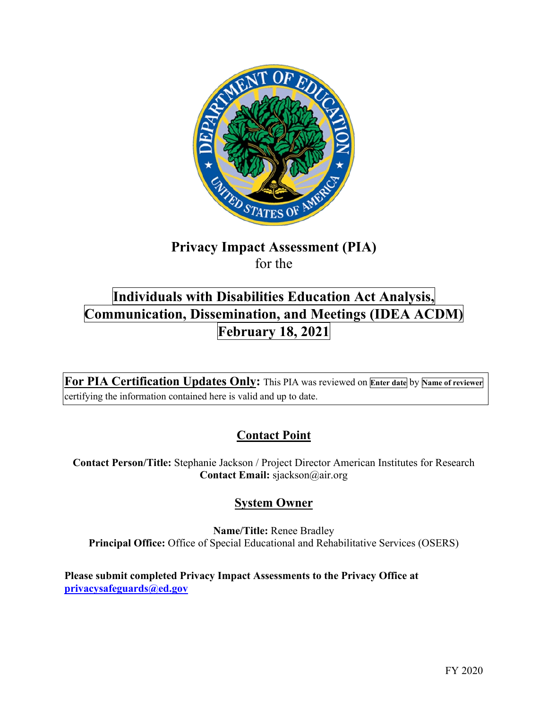

# **Privacy Impact Assessment (PIA)**  for the

# **Individuals with Disabilities Education Act Analysis, Communication, Dissemination, and Meetings (IDEA ACDM) February 18, 2021**

 **For PIA Certification Updates Only:** This PIA was reviewed on **Enter date** by **Name of reviewer**  certifying the information contained here is valid and up to date.

## **Contact Point**

**Contact Person/Title:** Stephanie Jackson / Project Director American Institutes for Research **Contact Email:** [sjackson@air.org](mailto:sjackson@air.org) 

## **System Owner**

**Name/Title:** Renee Bradley **Principal Office:** Office of Special Educational and Rehabilitative Services (OSERS)

 **[privacysafeguards@ed.gov](mailto:privacysafeguards@ed.gov) Please submit completed Privacy Impact Assessments to the Privacy Office at**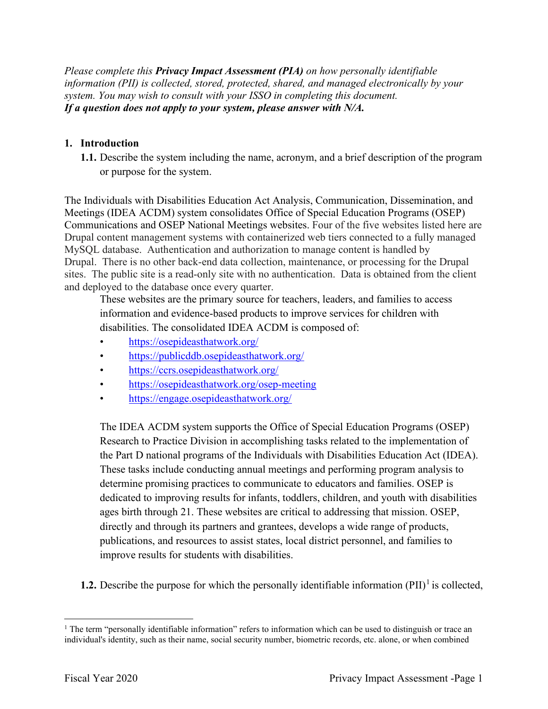*Please complete this Privacy Impact Assessment (PIA) on how personally identifiable information (PII) is collected, stored, protected, shared, and managed electronically by your system. You may wish to consult with your ISSO in completing this document. If a question does not apply to your system, please answer with N/A.* 

#### **1. Introduction**

 **1.1.** Describe the system including the name, acronym, and a brief description of the program or purpose for the system.

 Meetings (IDEA ACDM) system consolidates Office of Special Education Programs (OSEP) Communications and OSEP National Meetings websites. Four of the five websites listed here are Drupal content management systems with containerized web tiers connected to a fully managed MySQL database. Authentication and authorization to manage content is handled by Drupal. There is no other back-end data collection, maintenance, or processing for the Drupal sites. The public site is a read-only site with no authentication. Data is obtained from the client and deployed to the database once every quarter. The Individuals with Disabilities Education Act Analysis, Communication, Dissemination, and

 These websites are the primary source for teachers, leaders, and families to access information and evidence-based products to improve services for children with disabilities. The consolidated IDEA ACDM is composed of:

- https://osepideasthatwork.org/
- https://publicddb.osepideasthatwork.org/
- https://ccrs.osepideasthatwork.org/
- https://publicddb.osepideasthatwork.org/<br>• https://ccrs.osepideasthatwork.org/<br>• [https://osepideasthatwork.org/](https://osepideasthatwork.org)osep-meeting
- [https://engage.osepideasthatwork.org/](https://engage.osepideasthatwork.org)

 The IDEA ACDM system supports the Office of Special Education Programs (OSEP) Research to Practice Division in accomplishing tasks related to the implementation of These tasks include conducting annual meetings and performing program analysis to determine promising practices to communicate to educators and families. OSEP is ages birth through 21. These websites are critical to addressing that mission. OSEP, the Part D national programs of the Individuals with Disabilities Education Act (IDEA). dedicated to improving results for infants, toddlers, children, and youth with disabilities directly and through its partners and grantees, develops a wide range of products, publications, and resources to assist states, local district personnel, and families to improve results for students with disabilities.

**1.2.** Describe the purpose for which the personally identifiable information  $(PII)^{1}$  is collected,

<sup>&</sup>lt;sup>1</sup> The term "personally identifiable information" refers to information which can be used to distinguish or trace an individual's identity, such as their name, social security number, biometric records, etc. alone, or when combined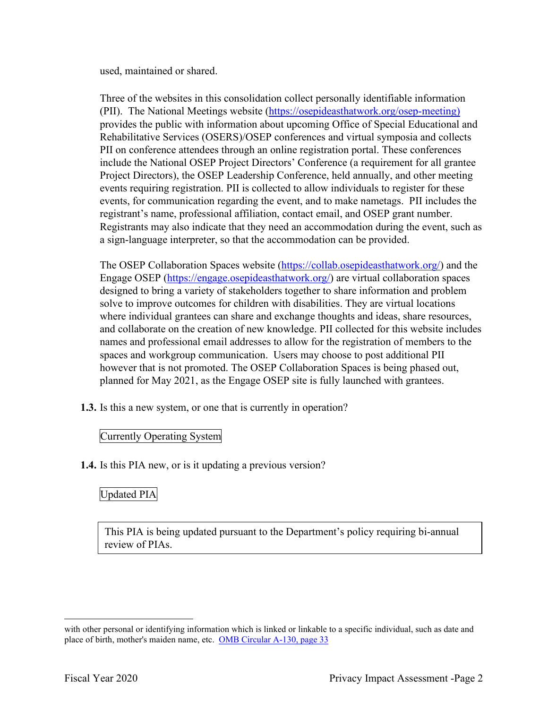used, maintained or shared.

 events, for communication regarding the event, and to make nametags. PII includes the Three of the websites in this consolidation collect personally identifiable information (PII). The National Meetings website [\(https://osepideasthatwork.org/osep-meeting](https://osepideasthatwork.org/osep-meeting)) provides the public with information about upcoming Office of Special Educational and Rehabilitative Services (OSERS)/OSEP conferences and virtual symposia and collects PII on conference attendees through an online registration portal. These conferences include the National OSEP Project Directors' Conference (a requirement for all grantee Project Directors), the OSEP Leadership Conference, held annually, and other meeting events requiring registration. PII is collected to allow individuals to register for these registrant's name, professional affiliation, contact email, and OSEP grant number. Registrants may also indicate that they need an accommodation during the event, such as a sign-language interpreter, so that the accommodation can be provided.

The OSEP Collaboration Spaces website (*<https://collab.osepideasthatwork.org>/*) and the Engage OSEP ([https://engage.osepideasthatwork.org/](https://engage.osepideasthatwork.org)) are virtual collaboration spaces solve to improve outcomes for children with disabilities. They are virtual locations where individual grantees can share and exchange thoughts and ideas, share resources, spaces and workgroup communication. Users may choose to post additional PII designed to bring a variety of stakeholders together to share information and problem and collaborate on the creation of new knowledge. PII collected for this website includes names and professional email addresses to allow for the registration of members to the however that is not promoted. The OSEP Collaboration Spaces is being phased out, planned for May 2021, as the Engage OSEP site is fully launched with grantees.

**1.3.** Is this a new system, or one that is currently in operation?

#### Currently Operating System

**1.4.** Is this PIA new, or is it updating a previous version?

### Updated PIA

This PIA is being updated pursuant to the Department's policy requiring bi-annual review of PIAs.

place of birth, mother's maiden name, etc. OMB Circular A-130, page 33 with other personal or identifying information which is linked or linkable to a specific individual, such as date and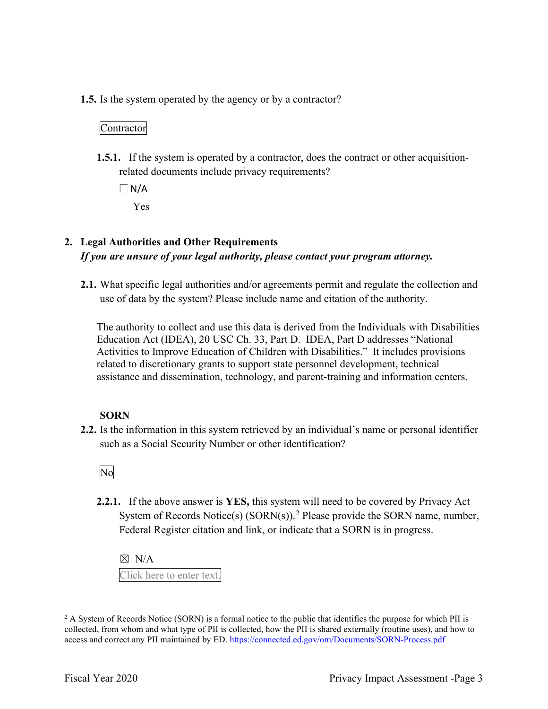**1.5.** Is the system operated by the agency or by a contractor?

#### Contractor

**1.5.1.** If the system is operated by a contractor, does the contract or other acquisitionrelated documents include privacy requirements?

 $\Box N/A$ Yes

## **2. Legal Authorities and Other Requirements**  *If you are unsure of your legal authority, please contact your program attorney.*

 use of data by the system? Please include name and citation of the authority. **2.1.** What specific legal authorities and/or agreements permit and regulate the collection and

 Activities to Improve Education of Children with Disabilities." It includes provisions The authority to collect and use this data is derived from the Individuals with Disabilities Education Act (IDEA), 20 USC Ch. 33, Part D. IDEA, Part D addresses "National related to discretionary grants to support state personnel development, technical assistance and dissemination, technology, and parent-training and information centers.

#### **SORN**

such as a Social Security Number or other identification?<br>No **2.2.** Is the information in this system retrieved by an individual's name or personal identifier

**2.2.1.** If the above answer is **YES,** this system will need to be covered by Privacy Act System of Records Notice(s) (SORN(s)).<sup>2</sup> Please provide the SORN name, number, Federal Register citation and link, or indicate that a SORN is in progress.

 ☒ N/A Click here to enter text.

access and correct any PII maintained by ED. https://connected.ed.gov/om/Documents/SORN-Process.pdf<br>Fiscal Year 2020 Privacy Impact Assessment -Page 3  $2$  A System of Records Notice (SORN) is a formal notice to the public that identifies the purpose for which PII is collected, from whom and what type of PII is collected, how the PII is shared externally (routine uses), and how to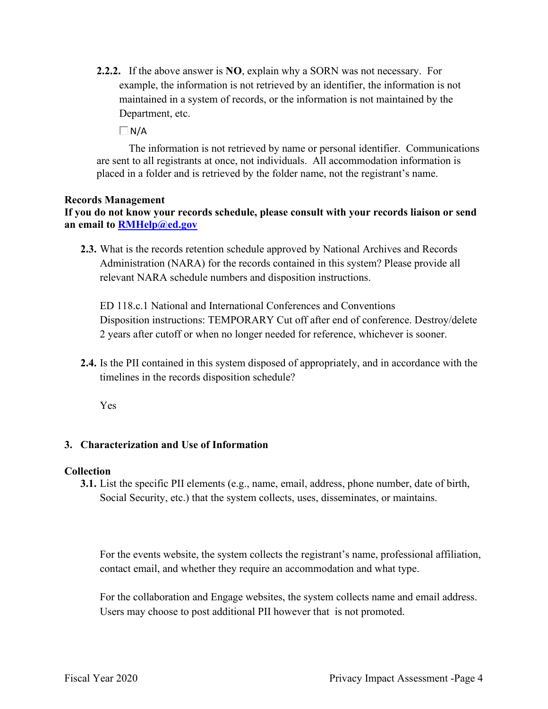**2.2.2.** If the above answer is **NO**, explain why a SORN was not necessary. For Department, etc. example, the information is not retrieved by an identifier, the information is not maintained in a system of records, or the information is not maintained by the

 $\Box$ N/A

The information is not retrieved by name or personal identifier. Communications are sent to all registrants at once, not individuals. All accommodation information is placed in a folder and is retrieved by the folder name, not the registrant's name.

#### **Records Management**

**If you do not know your records schedule, please consult with your records liaison or send an email to [RMHelp@ed.gov](mailto:RMHelp@ed.gov)** 

 **2.3.** What is the records retention schedule approved by National Archives and Records Administration (NARA) for the records contained in this system? Please provide all relevant NARA schedule numbers and disposition instructions.

 2 years after cutoff or when no longer needed for reference, whichever is sooner. ED 118.c.1 National and International Conferences and Conventions Disposition instructions: TEMPORARY Cut off after end of conference. Destroy/delete

**2.4.** Is the PII contained in this system disposed of appropriately, and in accordance with the timelines in the records disposition schedule?

Yes

#### **3. Characterization and Use of Information**

#### **Collection**

**3.1.** List the specific PII elements (e.g., name, email, address, phone number, date of birth, Social Security, etc.) that the system collects, uses, disseminates, or maintains.

For the events website, the system collects the registrant's name, professional affiliation, contact email, and whether they require an accommodation and what type.

 For the collaboration and Engage websites, the system collects name and email address. Users may choose to post additional PII however that is not promoted.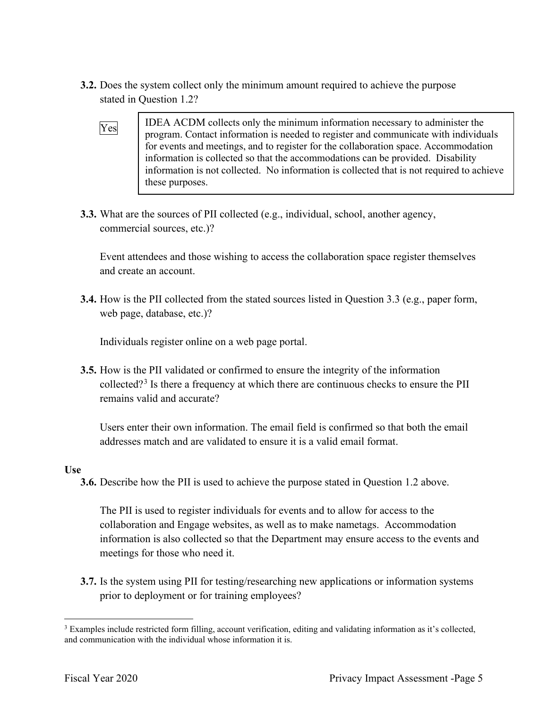- stated in Question 1.2? **3.2.** Does the system collect only the minimum amount required to achieve the purpose
	- information is collected so that the accommodations can be provided. Disability  $\begin{array}{c|c}\n\hline\n\text{Yes} & \text{IDEA ACDM collects only the minimum information necessary to administer the program. Contact information is needed to register and communicate with individuals}\n\end{array}$ for events and meetings, and to register for the collaboration space. Accommodation information is not collected. No information is collected that is not required to achieve these purposes.
- **3.3.** What are the sources of PII collected (e.g., individual, school, another agency, commercial sources, etc.)?

Event attendees and those wishing to access the collaboration space register themselves and create an account.

 **3.4.** How is the PII collected from the stated sources listed in Question 3.3 (e.g., paper form, web page, database, etc.)?

Individuals register online on a web page portal.

**3.5.** How is the PII validated or confirmed to ensure the integrity of the information collected?<sup>3</sup> Is there a frequency at which there are continuous checks to ensure the PII remains valid and accurate?

 addresses match and are validated to ensure it is a valid email format. Users enter their own information. The email field is confirmed so that both the email

#### **Use**

**3.6.** Describe how the PII is used to achieve the purpose stated in Question 1.2 above.

The PII is used to register individuals for events and to allow for access to the collaboration and Engage websites, as well as to make nametags. Accommodation information is also collected so that the Department may ensure access to the events and meetings for those who need it.

 **3.7.** Is the system using PII for testing/researching new applications or information systems prior to deployment or for training employees?

and communication with the individual whose information it is. <sup>3</sup> Examples include restricted form filling, account verification, editing and validating information as it's collected, and communication with the individual whose information it is.<br>Fiscal Year 2020 Privacy Impact Assessment -Page 5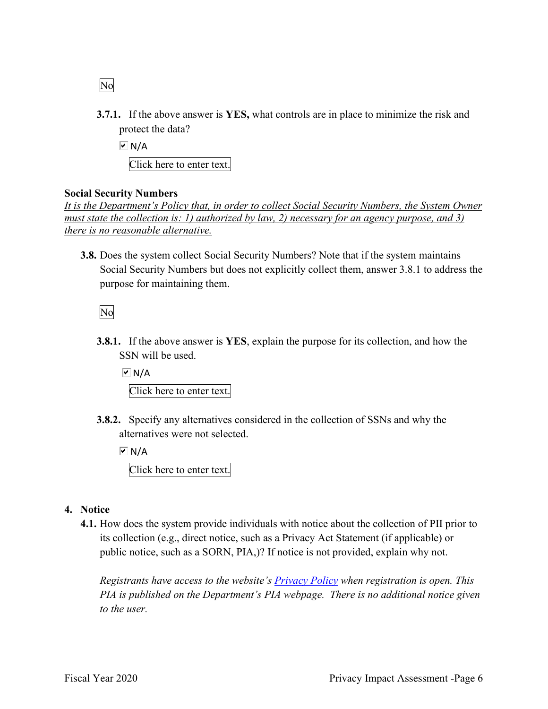- No
- **3.7.1.** If the above answer is **YES,** what controls are in place to minimize the risk and protect the data?

 Click here to enter text.  $\overline{M}$  N/A

#### **Social Security Numbers**

*It is the Department's Policy that, in order to collect Social Security Numbers, the System Owner must state the collection is: 1) authorized by law, 2) necessary for an agency purpose, and 3) there is no reasonable alternative.* 

 **3.8.** Does the system collect Social Security Numbers? Note that if the system maintains Social Security Numbers but does not explicitly collect them, answer 3.8.1 to address the purpose for maintaining them.

No

**3.8.1.** If the above answer is **YES**, explain the purpose for its collection, and how the SSN will be used.

 $M/A$ Click here to enter text.

 **3.8.2.** Specify any alternatives considered in the collection of SSNs and why the alternatives were not selected.

 $\overline{V}$  N/A

Click here to enter text.

- **4. Notice** 
	- its collection (e.g., direct notice, such as a Privacy Act Statement (if applicable) or public notice, such as a SORN, PIA,)? If notice is not provided, explain why not. **4.1.** How does the system provide individuals with notice about the collection of PII prior to

*Registrants have access to the website's Privacy Policy when registration is open. This PIA is published on the Department's PIA webpage. There is no additional notice given to the user.*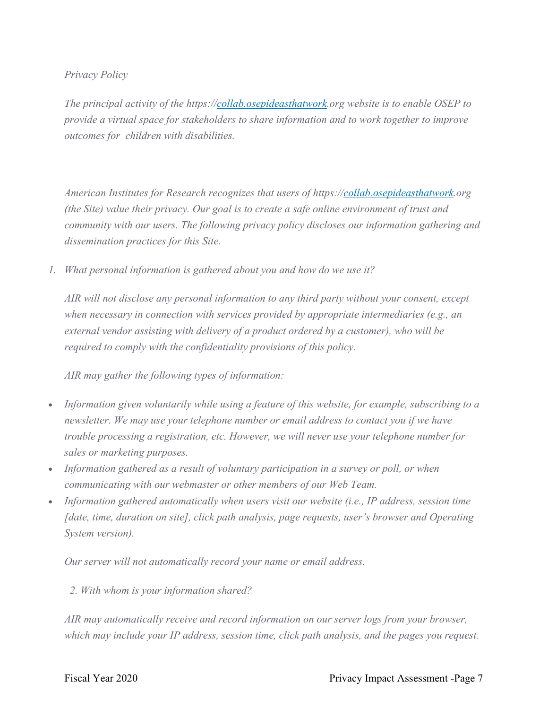#### *Privacy Policy*

 *outcomes for children with disabilities. The principal activity of the<https://collab.osepideasthatwork.org> website is to enable OSEP to provide a virtual space for stakeholders to share information and to work together to improve* 

*American Institutes for Research recognizes that users of <https://collab.osepideasthatwork.org> (the Site) value their privacy. Our goal is to create a safe online environment of trust and community with our users. The following privacy policy discloses our information gathering and dissemination practices for this Site.* 

*1. What personal information is gathered about you and how do we use it?* 

*AIR will not disclose any personal information to any third party without your consent, except when necessary in connection with services provided by appropriate intermediaries (e.g., an external vendor assisting with delivery of a product ordered by a customer), who will be required to comply with the confidentiality provisions of this policy.* 

*AIR may gather the following types of information:* 

- *Information given voluntarily while using a feature of this website, for example, subscribing to a newsletter. We may use your telephone number or email address to contact you if we have trouble processing a registration, etc. However, we will never use your telephone number for sales or marketing purposes.*
- *Information gathered as a result of voluntary participation in a survey or poll, or when communicating with our webmaster or other members of our Web Team.*
- *Information gathered automatically when users visit our website (i.e., IP address, session time [date, time, duration on site], click path analysis, page requests, user's browser and Operating System version).*

*Our server will not automatically record your name or email address.* 

*2. With whom is your information shared?* 

*AIR may automatically receive and record information on our server logs from your browser, which may include your IP address, session time, click path analysis, and the pages you request.*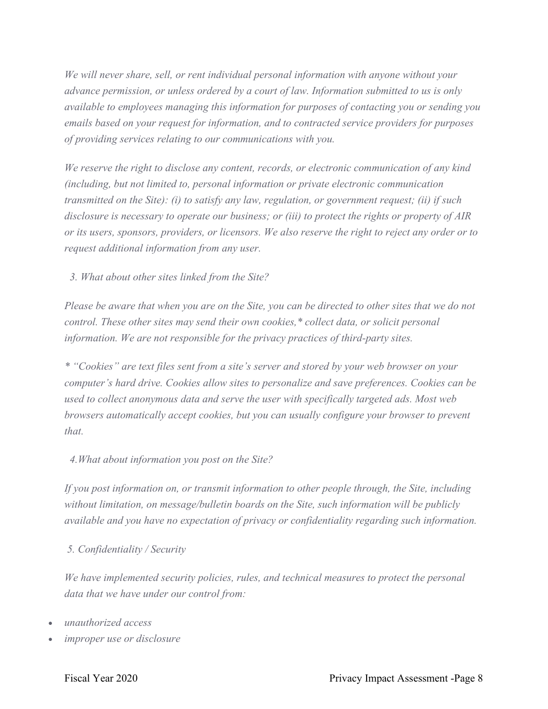*We will never share, sell, or rent individual personal information with anyone without your advance permission, or unless ordered by a court of law. Information submitted to us is only available to employees managing this information for purposes of contacting you or sending you emails based on your request for information, and to contracted service providers for purposes of providing services relating to our communications with you.* 

*We reserve the right to disclose any content, records, or electronic communication of any kind (including, but not limited to, personal information or private electronic communication transmitted on the Site): (i) to satisfy any law, regulation, or government request; (ii) if such disclosure is necessary to operate our business; or (iii) to protect the rights or property of AIR or its users, sponsors, providers, or licensors. We also reserve the right to reject any order or to request additional information from any user.* 

*3. What about other sites linked from the Site?* 

*Please be aware that when you are on the Site, you can be directed to other sites that we do not control. These other sites may send their own cookies,\* collect data, or solicit personal information. We are not responsible for the privacy practices of third-party sites.* 

*\* "Cookies" are text files sent from a site's server and stored by your web browser on your computer's hard drive. Cookies allow sites to personalize and save preferences. Cookies can be*  used to collect anonymous data and serve the user with specifically targeted ads. Most web *browsers automatically accept cookies, but you can usually configure your browser to prevent that.* 

#### *4.What about information you post on the Site?*

*If you post information on, or transmit information to other people through, the Site, including without limitation, on message/bulletin boards on the Site, such information will be publicly available and you have no expectation of privacy or confidentiality regarding such information.* 

 *5. Confidentiality / Security* 

*We have implemented security policies, rules, and technical measures to protect the personal data that we have under our control from:* 

- *unauthorized access*
- *improper use or disclosure*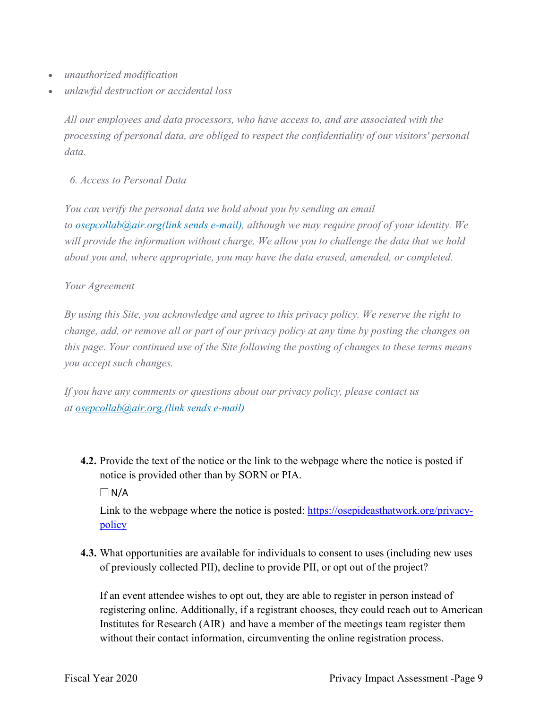- *unauthorized modification*
- *unlawful destruction or accidental loss*

*All our employees and data processors, who have access to, and are associated with the processing of personal data, are obliged to respect the confidentiality of our visitors' personal data.* 

*6. Access to Personal Data* 

*You can verify the personal data we hold about you by sending an email to osepcollab@air.org(link sends e-mail), although we may require proof of your identity. We will provide the information without charge. We allow you to challenge the data that we hold about you and, where appropriate, you may have the data erased, amended, or completed.* 

#### *Your Agreement*

*By using this Site, you acknowledge and agree to this privacy policy. We reserve the right to change, add, or remove all or part of our privacy policy at any time by posting the changes on this page. Your continued use of the Site following the posting of changes to these terms means you accept such changes.* 

*If you have any comments or questions about our privacy policy, please contact us at osepcollab@air.org.(link sends e-mail)* 

**4.2.** Provide the text of the notice or the link to the webpage where the notice is posted if notice is provided other than by SORN or PIA.

 $\Box$ N/A

Link to the webpage where the notice is posted: <https://osepideasthatwork.org/privacy>policy

**4.3.** What opportunities are available for individuals to consent to uses (including new uses of previously collected PII), decline to provide PII, or opt out of the project?

 If an event attendee wishes to opt out, they are able to register in person instead of registering online. Additionally, if a registrant chooses, they could reach out to American Institutes for Research (AIR) and have a member of the meetings team register them without their contact information, circumventing the online registration process.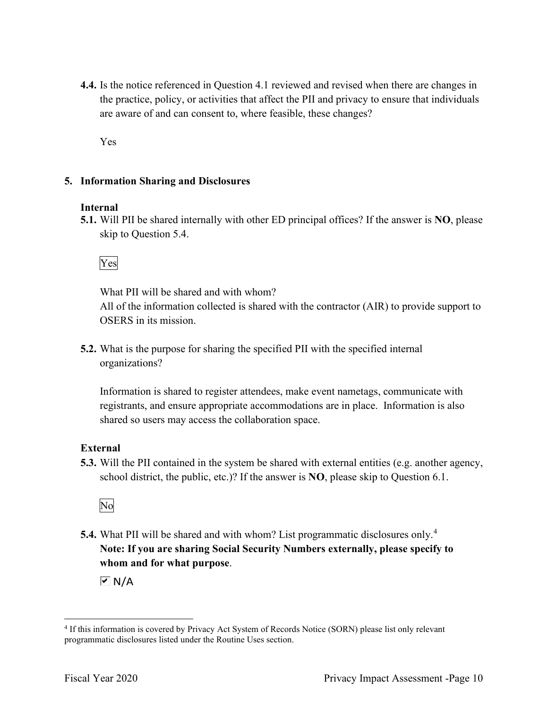**4.4.** Is the notice referenced in Question 4.1 reviewed and revised when there are changes in the practice, policy, or activities that affect the PII and privacy to ensure that individuals are aware of and can consent to, where feasible, these changes?

Yes

#### **5. Information Sharing and Disclosures**

#### **Internal**

 **5.1.** Will PII be shared internally with other ED principal offices? If the answer is **NO**, please skip to Question 5.4.

#### Yes

 All of the information collected is shared with the contractor (AIR) to provide support to OSERS in its mission. What PII will be shared and with whom?

organizations? **5.2.** What is the purpose for sharing the specified PII with the specified internal

 shared so users may access the collaboration space. Information is shared to register attendees, make event nametags, communicate with registrants, and ensure appropriate accommodations are in place. Information is also

#### **External**

**5.3.** Will the PII contained in the system be shared with external entities (e.g. another agency, school district, the public, etc.)? If the answer is **NO**, please skip to Question 6.1.



 **5.4.** What PII will be shared and with whom? List programmatic disclosures only.<sup>4</sup> **Note: If you are sharing Social Security Numbers externally, please specify to whom and for what purpose**.

 $\overline{M}$  N/A

<sup>4</sup> If this information is covered by Privacy Act System of Records Notice (SORN) please list only relevant programmatic disclosures listed under the Routine Uses section.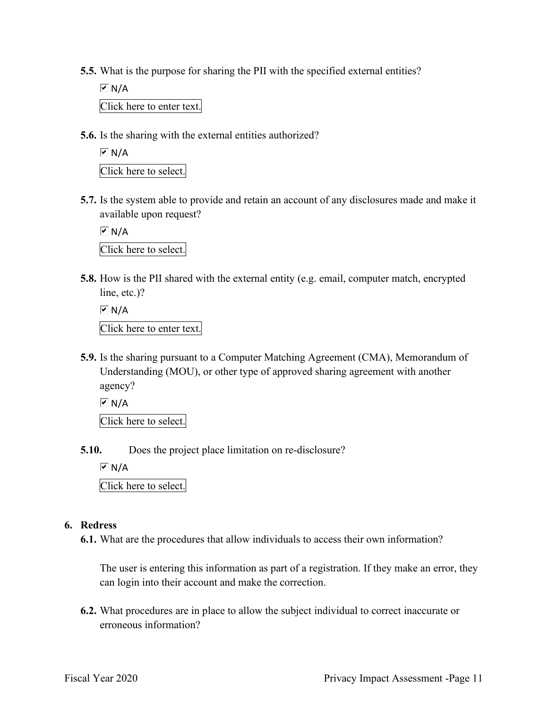- **5.5.** What is the purpose for sharing the PII with the specified external entities?
	- Click here to enter text.  $\overline{M}$  N/A
- **5.6.** Is the sharing with the external entities authorized?

```
l

Click here to select. 
\overline{M} N/A
```
**5.7.** Is the system able to provide and retain an account of any disclosures made and make it available upon request?

 Click here to select.  $\overline{M}$  N/A

 **5.8.** How is the PII shared with the external entity (e.g. email, computer match, encrypted line, etc.)?

```
 
Click here to enter text. 
\overline{M} N/A
```
**5.9.** Is the sharing pursuant to a Computer Matching Agreement (CMA), Memorandum of Understanding (MOU), or other type of approved sharing agreement with another agency?

 $\overline{M}$  N/A

Click here to select.

**5.10.** Does the project place limitation on re-disclosure?

 $\overline{M}$  N/A

Click here to select.

#### **6. Redress**

**6.1.** What are the procedures that allow individuals to access their own information?

 The user is entering this information as part of a registration. If they make an error, they can login into their account and make the correction.

**6.2.** What procedures are in place to allow the subject individual to correct inaccurate or erroneous information?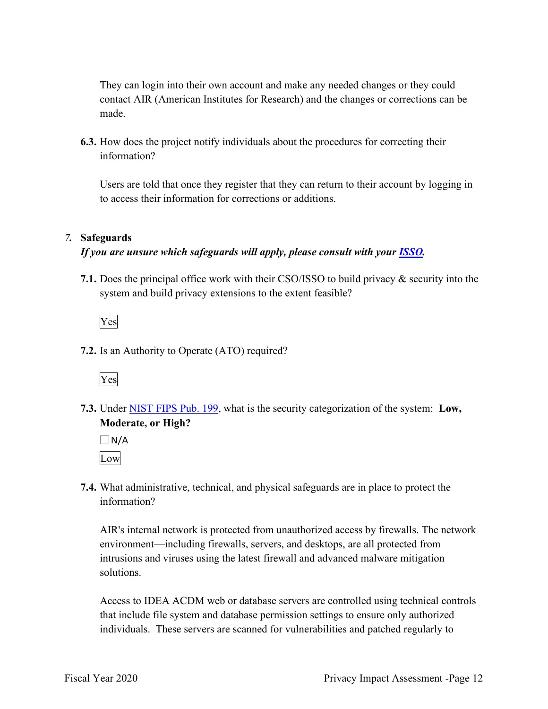They can login into their own account and make any needed changes or they could contact AIR (American Institutes for Research) and the changes or corrections can be made.

**6.3.** How does the project notify individuals about the procedures for correcting their information?

 to access their information for corrections or additions. Users are told that once they register that they can return to their account by logging in

#### *7.* **Safeguards**

#### *If you are unsure which safeguards will apply, please consult with your ISSO.*

 system and build privacy extensions to the extent feasible? **7.1.** Does the principal office work with their CSO/ISSO to build privacy & security into the



**7.2.** Is an Authority to Operate (ATO) required?



**7.3.** Under NIST FIPS Pub. 199, what is the security categorization of the system: **Low, Moderate, or High?** 

 $\Box$  N/A Low

**7.4.** What administrative, technical, and physical safeguards are in place to protect the information?

AIR's internal network is protected from unauthorized access by firewalls. The network environment—including firewalls, servers, and desktops, are all protected from intrusions and viruses using the latest firewall and advanced malware mitigation solutions.

Access to IDEA ACDM web or database servers are controlled using technical controls that include file system and database permission settings to ensure only authorized individuals. These servers are scanned for vulnerabilities and patched regularly to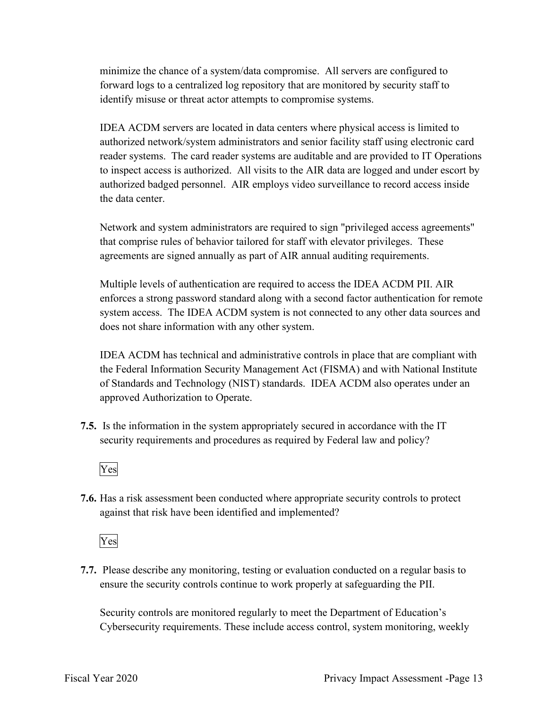minimize the chance of a system/data compromise. All servers are configured to forward logs to a centralized log repository that are monitored by security staff to identify misuse or threat actor attempts to compromise systems.

 IDEA ACDM servers are located in data centers where physical access is limited to authorized network/system administrators and senior facility staff using electronic card reader systems. The card reader systems are auditable and are provided to IT Operations the data center. to inspect access is authorized. All visits to the AIR data are logged and under escort by authorized badged personnel. AIR employs video surveillance to record access inside

 agreements are signed annually as part of AIR annual auditing requirements. Network and system administrators are required to sign "privileged access agreements" that comprise rules of behavior tailored for staff with elevator privileges. These

 Multiple levels of authentication are required to access the IDEA ACDM PII. AIR enforces a strong password standard along with a second factor authentication for remote system access. The IDEA ACDM system is not connected to any other data sources and does not share information with any other system.

 the Federal Information Security Management Act (FISMA) and with National Institute IDEA ACDM has technical and administrative controls in place that are compliant with of Standards and Technology (NIST) standards. IDEA ACDM also operates under an approved Authorization to Operate.

 **7.5.** Is the information in the system appropriately secured in accordance with the IT security requirements and procedures as required by Federal law and policy?



**7.6.** Has a risk assessment been conducted where appropriate security controls to protect against that risk have been identified and implemented?

Yes

 ensure the security controls continue to work properly at safeguarding the PII. **7.7.** Please describe any monitoring, testing or evaluation conducted on a regular basis to

Security controls are monitored regularly to meet the Department of Education's Cybersecurity requirements. These include access control, system monitoring, weekly